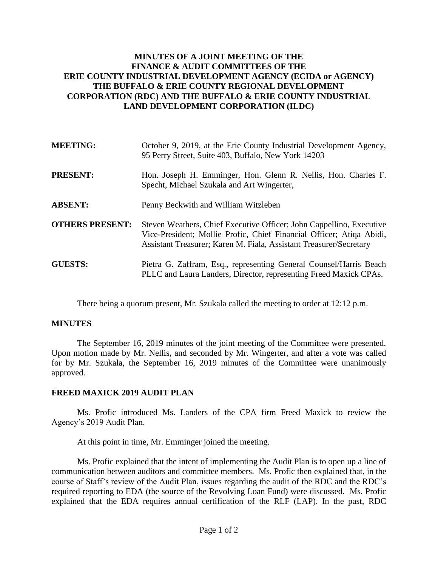## **MINUTES OF A JOINT MEETING OF THE FINANCE & AUDIT COMMITTEES OF THE ERIE COUNTY INDUSTRIAL DEVELOPMENT AGENCY (ECIDA or AGENCY) THE BUFFALO & ERIE COUNTY REGIONAL DEVELOPMENT CORPORATION (RDC) AND THE BUFFALO & ERIE COUNTY INDUSTRIAL LAND DEVELOPMENT CORPORATION (ILDC)**

| <b>MEETING:</b>        | October 9, 2019, at the Erie County Industrial Development Agency,<br>95 Perry Street, Suite 403, Buffalo, New York 14203                                                                                          |
|------------------------|--------------------------------------------------------------------------------------------------------------------------------------------------------------------------------------------------------------------|
| <b>PRESENT:</b>        | Hon. Joseph H. Emminger, Hon. Glenn R. Nellis, Hon. Charles F.<br>Specht, Michael Szukala and Art Wingerter,                                                                                                       |
| <b>ABSENT:</b>         | Penny Beckwith and William Witzleben                                                                                                                                                                               |
| <b>OTHERS PRESENT:</b> | Steven Weathers, Chief Executive Officer; John Cappellino, Executive<br>Vice-President; Mollie Profic, Chief Financial Officer; Atiqa Abidi,<br>Assistant Treasurer; Karen M. Fiala, Assistant Treasurer/Secretary |
| <b>GUESTS:</b>         | Pietra G. Zaffram, Esq., representing General Counsel/Harris Beach<br>PLLC and Laura Landers, Director, representing Freed Maxick CPAs.                                                                            |

There being a quorum present, Mr. Szukala called the meeting to order at 12:12 p.m.

## **MINUTES**

The September 16, 2019 minutes of the joint meeting of the Committee were presented. Upon motion made by Mr. Nellis, and seconded by Mr. Wingerter, and after a vote was called for by Mr. Szukala, the September 16, 2019 minutes of the Committee were unanimously approved.

## **FREED MAXICK 2019 AUDIT PLAN**

Ms. Profic introduced Ms. Landers of the CPA firm Freed Maxick to review the Agency's 2019 Audit Plan.

At this point in time, Mr. Emminger joined the meeting.

Ms. Profic explained that the intent of implementing the Audit Plan is to open up a line of communication between auditors and committee members. Ms. Profic then explained that, in the course of Staff's review of the Audit Plan, issues regarding the audit of the RDC and the RDC's required reporting to EDA (the source of the Revolving Loan Fund) were discussed. Ms. Profic explained that the EDA requires annual certification of the RLF (LAP). In the past, RDC